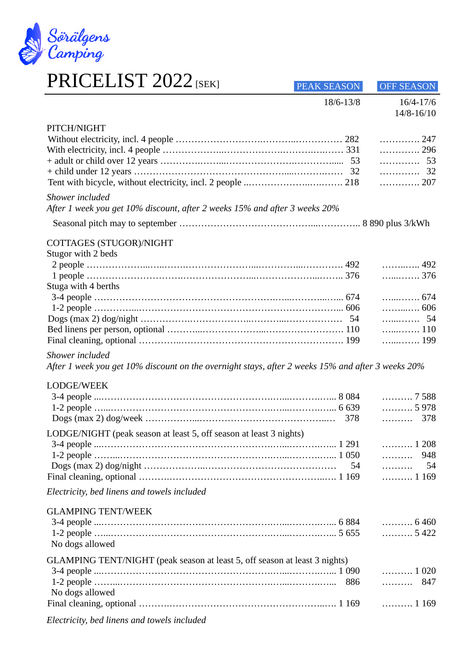

## PRICELIST 2022 [SEK]

| I INICLIJIO I ZUZZISENI                                                                           | PEAK SEASON | <b>OFF SEASON</b>            |
|---------------------------------------------------------------------------------------------------|-------------|------------------------------|
|                                                                                                   | 18/6-13/8   | 16/4-17/6<br>14/8-16/10      |
|                                                                                                   |             |                              |
| PITCH/NIGHT                                                                                       |             |                              |
|                                                                                                   |             | . 247                        |
|                                                                                                   |             | . 296                        |
|                                                                                                   |             | 53                           |
|                                                                                                   |             | 32                           |
|                                                                                                   |             | 207                          |
| Shower included                                                                                   |             |                              |
| After 1 week you get 10% discount, after 2 weeks 15% and after 3 weeks 20%                        |             |                              |
|                                                                                                   |             |                              |
|                                                                                                   |             |                              |
| COTTAGES (STUGOR)/NIGHT                                                                           |             |                              |
| Stugor with 2 beds                                                                                |             |                              |
|                                                                                                   |             | 492                          |
|                                                                                                   |             | 376                          |
| Stuga with 4 berths                                                                               |             |                              |
|                                                                                                   |             | . 674                        |
|                                                                                                   |             | . 606                        |
|                                                                                                   |             | . 54                         |
|                                                                                                   |             | 110                          |
|                                                                                                   |             | 199                          |
| Shower included                                                                                   |             |                              |
| After 1 week you get 10% discount on the overnight stays, after 2 weeks 15% and after 3 weeks 20% |             |                              |
| LODGE/WEEK                                                                                        |             |                              |
|                                                                                                   |             | 7 588                        |
|                                                                                                   |             | 5978                         |
|                                                                                                   | 378         | 378<br>.                     |
| LODGE/NIGHT (peak season at least 5, off season at least 3 nights)                                |             |                              |
|                                                                                                   |             | 1 208                        |
|                                                                                                   |             | 948                          |
|                                                                                                   | 54          | 54<br>.                      |
|                                                                                                   |             | 1 169                        |
|                                                                                                   |             |                              |
| Electricity, bed linens and towels included                                                       |             |                              |
| <b>GLAMPING TENT/WEEK</b>                                                                         |             |                              |
|                                                                                                   |             | $\ldots \ldots \ldots 6460$  |
|                                                                                                   |             | $\ldots \ldots \ldots 5422$  |
| No dogs allowed                                                                                   |             |                              |
|                                                                                                   |             |                              |
| GLAMPING TENT/NIGHT (peak season at least 5, off season at least 3 nights)                        |             |                              |
|                                                                                                   |             | $\ldots \ldots \ldots 1$ 020 |
|                                                                                                   | 886         | 847                          |
| No dogs allowed                                                                                   |             |                              |
|                                                                                                   |             | $\ldots \ldots \ldots 1169$  |
|                                                                                                   |             |                              |

*Electricity, bed linens and towels included*